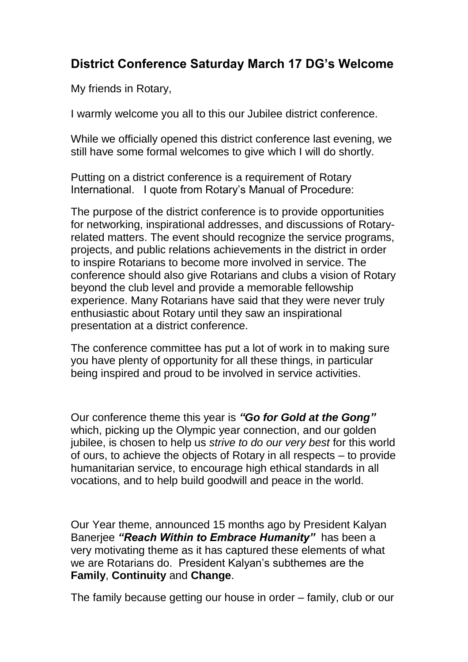## **District Conference Saturday March 17 DG's Welcome**

My friends in Rotary,

I warmly welcome you all to this our Jubilee district conference.

While we officially opened this district conference last evening, we still have some formal welcomes to give which I will do shortly.

Putting on a district conference is a requirement of Rotary International. I quote from Rotary's Manual of Procedure:

The purpose of the district conference is to provide opportunities for networking, inspirational addresses, and discussions of Rotaryrelated matters. The event should recognize the service programs, projects, and public relations achievements in the district in order to inspire Rotarians to become more involved in service. The conference should also give Rotarians and clubs a vision of Rotary beyond the club level and provide a memorable fellowship experience. Many Rotarians have said that they were never truly enthusiastic about Rotary until they saw an inspirational presentation at a district conference.

The conference committee has put a lot of work in to making sure you have plenty of opportunity for all these things, in particular being inspired and proud to be involved in service activities.

Our conference theme this year is *"Go for Gold at the Gong"* which, picking up the Olympic year connection, and our golden jubilee, is chosen to help us *strive to do our very best* for this world of ours, to achieve the objects of Rotary in all respects – to provide humanitarian service, to encourage high ethical standards in all vocations, and to help build goodwill and peace in the world.

Our Year theme, announced 15 months ago by President Kalyan Banerjee *"Reach Within to Embrace Humanity"* has been a very motivating theme as it has captured these elements of what we are Rotarians do. President Kalyan's subthemes are the **Family**, **Continuity** and **Change**.

The family because getting our house in order – family, club or our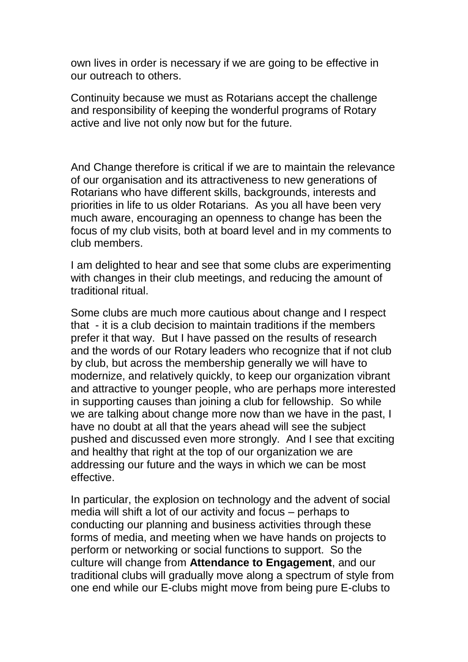own lives in order is necessary if we are going to be effective in our outreach to others.

Continuity because we must as Rotarians accept the challenge and responsibility of keeping the wonderful programs of Rotary active and live not only now but for the future.

And Change therefore is critical if we are to maintain the relevance of our organisation and its attractiveness to new generations of Rotarians who have different skills, backgrounds, interests and priorities in life to us older Rotarians. As you all have been very much aware, encouraging an openness to change has been the focus of my club visits, both at board level and in my comments to club members.

I am delighted to hear and see that some clubs are experimenting with changes in their club meetings, and reducing the amount of traditional ritual.

Some clubs are much more cautious about change and I respect that - it is a club decision to maintain traditions if the members prefer it that way. But I have passed on the results of research and the words of our Rotary leaders who recognize that if not club by club, but across the membership generally we will have to modernize, and relatively quickly, to keep our organization vibrant and attractive to younger people, who are perhaps more interested in supporting causes than joining a club for fellowship. So while we are talking about change more now than we have in the past, I have no doubt at all that the years ahead will see the subject pushed and discussed even more strongly. And I see that exciting and healthy that right at the top of our organization we are addressing our future and the ways in which we can be most effective.

In particular, the explosion on technology and the advent of social media will shift a lot of our activity and focus – perhaps to conducting our planning and business activities through these forms of media, and meeting when we have hands on projects to perform or networking or social functions to support. So the culture will change from **Attendance to Engagement**, and our traditional clubs will gradually move along a spectrum of style from one end while our E-clubs might move from being pure E-clubs to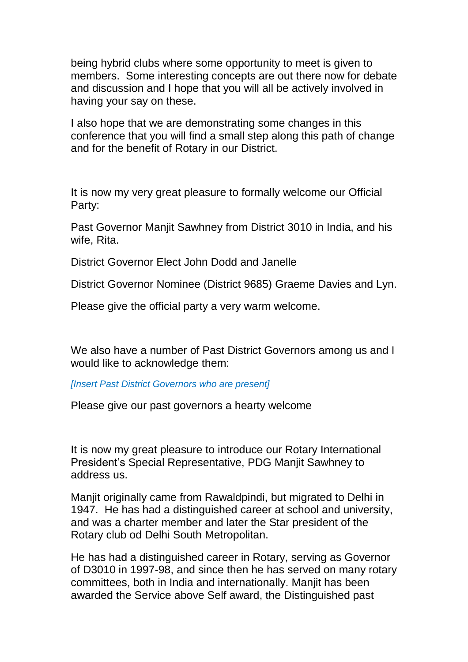being hybrid clubs where some opportunity to meet is given to members. Some interesting concepts are out there now for debate and discussion and I hope that you will all be actively involved in having your say on these.

I also hope that we are demonstrating some changes in this conference that you will find a small step along this path of change and for the benefit of Rotary in our District.

It is now my very great pleasure to formally welcome our Official Party:

Past Governor Manjit Sawhney from District 3010 in India, and his wife, Rita.

District Governor Elect John Dodd and Janelle

District Governor Nominee (District 9685) Graeme Davies and Lyn.

Please give the official party a very warm welcome.

We also have a number of Past District Governors among us and I would like to acknowledge them:

*[Insert Past District Governors who are present]*

Please give our past governors a hearty welcome

It is now my great pleasure to introduce our Rotary International President's Special Representative, PDG Manjit Sawhney to address us.

Manjit originally came from Rawaldpindi, but migrated to Delhi in 1947. He has had a distinguished career at school and university, and was a charter member and later the Star president of the Rotary club od Delhi South Metropolitan.

He has had a distinguished career in Rotary, serving as Governor of D3010 in 1997-98, and since then he has served on many rotary committees, both in India and internationally. Manjit has been awarded the Service above Self award, the Distinguished past